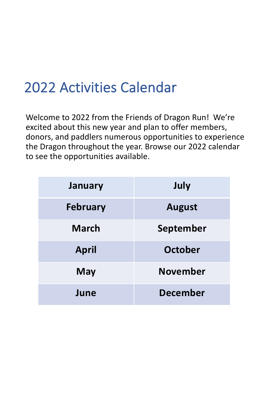### <span id="page-0-0"></span>2022 Activities Calendar

Welcome to 2022 from the Friends of Dragon Run! We're excited about this new year and plan to offer members, donors, and paddlers numerous opportunities to experience the Dragon throughout the year. Browse our 2022 calendar to see the opportunities available.

| <b>January</b>  | July            |
|-----------------|-----------------|
| <b>February</b> | <b>August</b>   |
| <b>March</b>    | September       |
| <b>April</b>    | October         |
| <b>May</b>      | <b>November</b> |
| June            | <b>December</b> |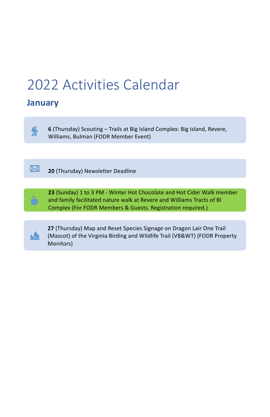# <span id="page-1-0"></span>[2022 Activities Calendar](#page-0-0)

### **January**



#### $\bf{X}$ **20** (Thursday) Newsletter Deadline

**6** (Thursday) Scouting – Trails at Big Island Complex: Big Island, Revere, Williams, Bulman (FODR Member Event)



**23** (Sunday) 1 to 3 PM - Winter Hot Chocolate and Hot Cider Walk member and family facilitated nature walk at Revere and Williams Tracts of BI Complex (For FODR Members & Guests. Registration required.)



**27** (Thursday) Map and Reset Species Signage on Dragon Lair One Trail (Mascot) of the Virginia Birding and Wildlife Trail (VB&WT) (FODR Property Monitors)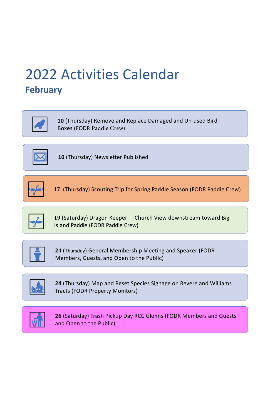### [2022 Activities Calendar](#page-0-0) **February**



**19** (Saturday) Dragon Keeper – Church View downstream toward Big Island Paddle (FODR Paddle Crew)



**10** (Thursday) Remove and Replace Damaged and Un-used Bird Boxes (FODR Paddle Crew)



**10** (Thursday) Newsletter Published



17 (Thursday) Scouting Trip for Spring Paddle Season (FODR Paddle Crew)



**24** (Thursday) General Membership Meeting and Speaker (FODR Members, Guests, and Open to the Public)



**24** (Thursday) Map and Reset Species Signage on Revere and Williams Tracts (FODR Property Monitors)



#### **26** (Saturday) Trash Pickup Day RCC Glenns (FODR Members and Guests and Open to the Public)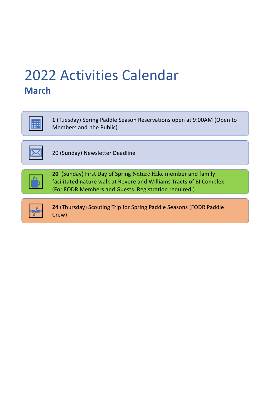**1** (Tuesday) Spring Paddle Season Reservations open at 9:00AM (Open to Members and the Public)



20 (Sunday) Newsletter Deadline



**20** (Sunday) First Day of Spring Nature Hike member and family facilitated nature walk at Revere and Williams Tracts of BI Complex (For FODR Members and Guests. Registration required.)



**24** (Thursday) Scouting Trip for Spring Paddle Seasons (FODR Paddle Crew)

### <span id="page-3-0"></span>[2022 Activities Calendar](#page-0-0) **March**

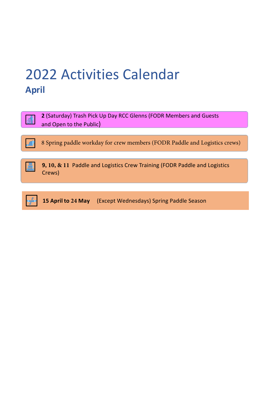**2** (Saturday) Trash Pick Up Day RCC Glenns (FODR Members and Guests and Open to the Public)





**9, 10, & 11** Paddle and Logistics Crew Training (FODR Paddle and Logistics Crews)



**15 April to 24 May** (Except Wednesdays) Spring Paddle Season

### <span id="page-4-0"></span>[2022 Activities Calendar](#page-0-0) **April**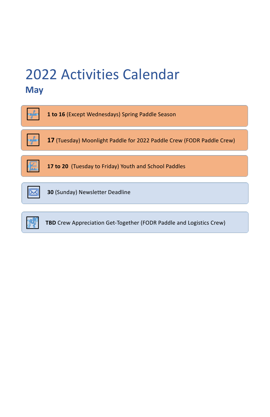| 1 to 16 (Except Wednesdays) Spring Paddle Season                      |
|-----------------------------------------------------------------------|
| 17 (Tuesday) Moonlight Paddle for 2022 Paddle Crew (FODR Paddle Crew) |
| 17 to 20 (Tuesday to Friday) Youth and School Paddles                 |
|                                                                       |
| <b>30 (Sunday) Newsletter Deadline</b>                                |



### <span id="page-5-0"></span>[2022 Activities Calendar](#page-0-0) **May**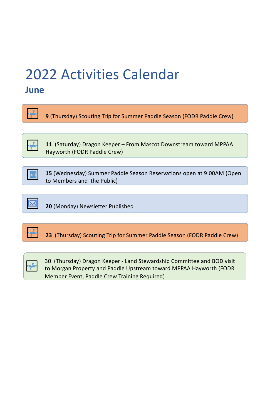**9** (Thursday) Scouting Trip for Summer Paddle Season (FODR Paddle Crew)

**11** (Saturday) Dragon Keeper – From Mascot Downstream toward MPPAA Hayworth (FODR Paddle Crew)



**15** (Wednesday) Summer Paddle Season Reservations open at 9:00AM (Open to Members and the Public)



**20** (Monday) Newsletter Published





30 (Thursday) Dragon Keeper - Land Stewardship Committee and BOD visit to Morgan Property and Paddle Upstream toward MPPAA Hayworth (FODR Member Event, Paddle Crew Training Required)

## <span id="page-6-0"></span>[2022 Activities Calendar](#page-0-0)

#### **June**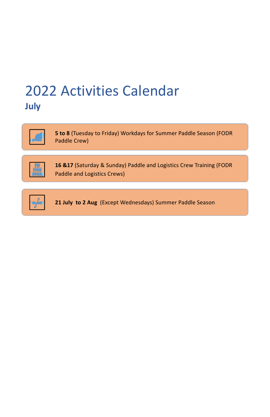**5 to 8** (Tuesday to Friday) Workdays for Summer Paddle Season (FODR Paddle Crew)



**16 &17** (Saturday & Sunday) Paddle and Logistics Crew Training (FODR Paddle and Logistics Crews)



**21 July to 2 Aug** (Except Wednesdays) Summer Paddle Season

### [2022 Activities Calendar](#page-0-0) **July**

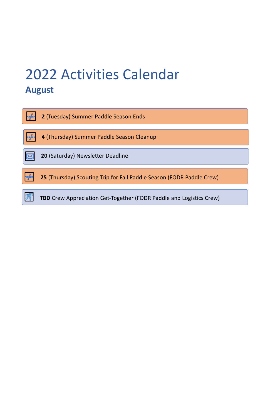

### <span id="page-8-0"></span>[2022 Activities Calendar](#page-0-0) **August**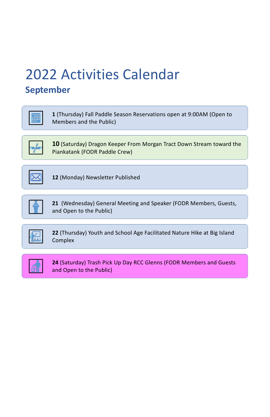**1** (Thursday) Fall Paddle Season Reservations open at 9:00AM (Open to Members and the Public)

|--|

**10** (Saturday) Dragon Keeper From Morgan Tract Down Stream toward the Piankatank (FODR Paddle Crew)



**12** (Monday) Newsletter Published



**21** (Wednesday) General Meeting and Speaker (FODR Members, Guests, and Open to the Public)

|--|--|--|--|--|

**22** (Thursday) Youth and School Age Facilitated Nature Hike at Big Island Complex



**24** (Saturday) Trash Pick Up Day RCC Glenns (FODR Members and Guests and Open to the Public)

# <span id="page-9-0"></span>[2022 Activities Calendar](#page-0-0)

### **September**

| ---<br>г.<br>n mar n<br><b>TELETIN</b><br>Τ<br>n |  |
|--------------------------------------------------|--|
|--------------------------------------------------|--|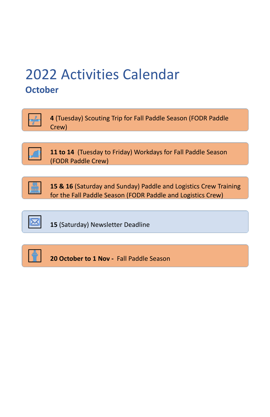**4** (Tuesday) Scouting Trip for Fall Paddle Season (FODR Paddle Crew)



**11 to 14** (Tuesday to Friday) Workdays for Fall Paddle Season (FODR Paddle Crew)



**15 & 16** (Saturday and Sunday) Paddle and Logistics Crew Training for the Fall Paddle Season (FODR Paddle and Logistics Crew)



**15** (Saturday) Newsletter Deadline



**20 October to 1 Nov -** Fall Paddle Season

### <span id="page-10-0"></span>[2022 Activities Calendar](#page-0-0) **October**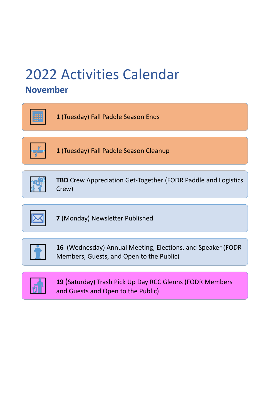**1** (Tuesday) Fall Paddle Season Ends



**1** (Tuesday) Fall Paddle Season Cleanup



**TBD** Crew Appreciation Get-Together (FODR Paddle and Logistics Crew)



**7** (Monday) Newsletter Published



**16** (Wednesday) Annual Meeting, Elections, and Speaker (FODR Members, Guests, and Open to the Public)



**19** (Saturday) Trash Pick Up Day RCC Glenns (FODR Members and Guests and Open to the Public)

## [2022 Activities Calendar](#page-0-0)

### **November**